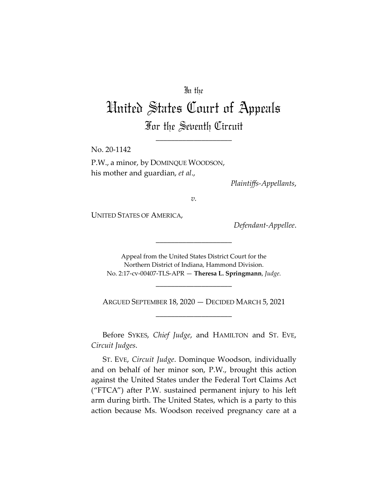# In the

# United States Court of Appeals For the Seventh Circuit

\_\_\_\_\_\_\_\_\_\_\_\_\_\_\_\_\_\_\_\_

No. 20-1142

P.W., a minor, by DOMINQUE WOODSON, his mother and guardian, *et al*.,

*Plaintiffs-Appellants*,

*v.*

UNITED STATES OF AMERICA,

*Defendant-Appellee*.

Appeal from the United States District Court for the Northern District of Indiana, Hammond Division. No. 2:17-cv-00407-TLS-APR — **Theresa L. Springmann**, *Judge*.

\_\_\_\_\_\_\_\_\_\_\_\_\_\_\_\_\_\_\_\_

\_\_\_\_\_\_\_\_\_\_\_\_\_\_\_\_\_\_\_\_

ARGUED SEPTEMBER 18, 2020 — DECIDED MARCH 5, 2021 \_\_\_\_\_\_\_\_\_\_\_\_\_\_\_\_\_\_\_\_

Before SYKES, *Chief Judge*, and HAMILTON and ST. EVE, *Circuit Judges*.

ST. EVE, *Circuit Judge*. Dominque Woodson, individually and on behalf of her minor son, P.W., brought this action against the United States under the Federal Tort Claims Act ("FTCA") after P.W. sustained permanent injury to his left arm during birth. The United States, which is a party to this action because Ms. Woodson received pregnancy care at a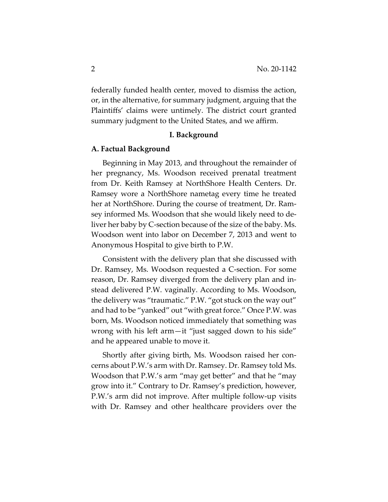federally funded health center, moved to dismiss the action, or, in the alternative, for summary judgment, arguing that the Plaintiffs' claims were untimely. The district court granted summary judgment to the United States, and we affirm.

### **I. Background**

#### **A. Factual Background**

Beginning in May 2013, and throughout the remainder of her pregnancy, Ms. Woodson received prenatal treatment from Dr. Keith Ramsey at NorthShore Health Centers. Dr. Ramsey wore a NorthShore nametag every time he treated her at NorthShore. During the course of treatment, Dr. Ramsey informed Ms. Woodson that she would likely need to deliver her baby by C-section because of the size of the baby. Ms. Woodson went into labor on December 7, 2013 and went to Anonymous Hospital to give birth to P.W.

Consistent with the delivery plan that she discussed with Dr. Ramsey, Ms. Woodson requested a C-section. For some reason, Dr. Ramsey diverged from the delivery plan and instead delivered P.W. vaginally. According to Ms. Woodson, the delivery was "traumatic." P.W. "got stuck on the way out" and had to be "yanked" out "with great force." Once P.W. was born, Ms. Woodson noticed immediately that something was wrong with his left arm—it "just sagged down to his side" and he appeared unable to move it.

Shortly after giving birth, Ms. Woodson raised her concerns about P.W.'s arm with Dr. Ramsey. Dr. Ramsey told Ms. Woodson that P.W.'s arm "may get better" and that he "may grow into it." Contrary to Dr. Ramsey's prediction, however, P.W.'s arm did not improve. After multiple follow-up visits with Dr. Ramsey and other healthcare providers over the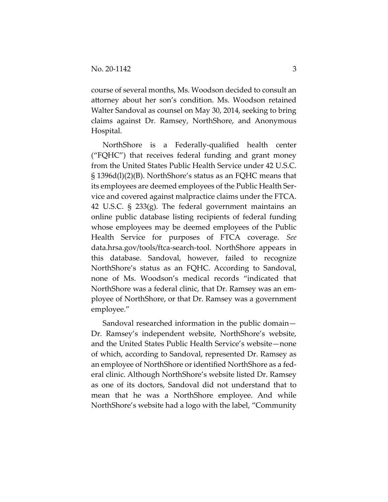course of several months, Ms. Woodson decided to consult an attorney about her son's condition. Ms. Woodson retained Walter Sandoval as counsel on May 30, 2014, seeking to bring claims against Dr. Ramsey, NorthShore, and Anonymous Hospital.

NorthShore is a Federally-qualified health center ("FQHC") that receives federal funding and grant money from the United States Public Health Service under 42 U.S.C. § 1396d(l)(2)(B). NorthShore's status as an FQHC means that its employees are deemed employees of the Public Health Service and covered against malpractice claims under the FTCA. 42 U.S.C. § 233(g). The federal government maintains an online public database listing recipients of federal funding whose employees may be deemed employees of the Public Health Service for purposes of FTCA coverage. *See* data.hrsa.gov/tools/ftca-search-tool. NorthShore appears in this database. Sandoval, however, failed to recognize NorthShore's status as an FQHC. According to Sandoval, none of Ms. Woodson's medical records "indicated that NorthShore was a federal clinic, that Dr. Ramsey was an employee of NorthShore, or that Dr. Ramsey was a government employee."

Sandoval researched information in the public domain— Dr. Ramsey's independent website, NorthShore's website, and the United States Public Health Service's website—none of which, according to Sandoval, represented Dr. Ramsey as an employee of NorthShore or identified NorthShore as a federal clinic. Although NorthShore's website listed Dr. Ramsey as one of its doctors, Sandoval did not understand that to mean that he was a NorthShore employee. And while NorthShore's website had a logo with the label, "Community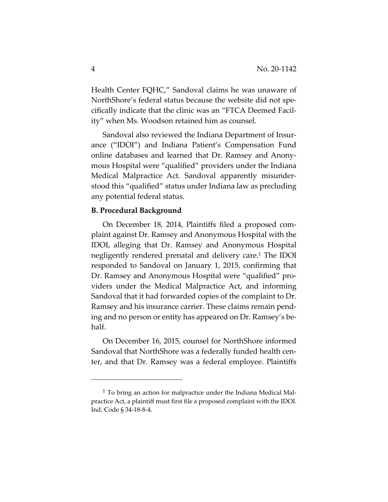Health Center FQHC," Sandoval claims he was unaware of NorthShore's federal status because the website did not specifically indicate that the clinic was an "FTCA Deemed Facility" when Ms. Woodson retained him as counsel.

Sandoval also reviewed the Indiana Department of Insurance ("IDOI") and Indiana Patient's Compensation Fund online databases and learned that Dr. Ramsey and Anonymous Hospital were "qualified" providers under the Indiana Medical Malpractice Act. Sandoval apparently misunderstood this "qualified" status under Indiana law as precluding any potential federal status.

### **B. Procedural Background**

On December 18, 2014, Plaintiffs filed a proposed complaint against Dr. Ramsey and Anonymous Hospital with the IDOI, alleging that Dr. Ramsey and Anonymous Hospital negligently rendered prenatal and delivery care.1 The IDOI responded to Sandoval on January 1, 2015, confirming that Dr. Ramsey and Anonymous Hospital were "qualified" providers under the Medical Malpractice Act, and informing Sandoval that it had forwarded copies of the complaint to Dr. Ramsey and his insurance carrier. These claims remain pending and no person or entity has appeared on Dr. Ramsey's behalf.

On December 16, 2015, counsel for NorthShore informed Sandoval that NorthShore was a federally funded health center, and that Dr. Ramsey was a federal employee. Plaintiffs

 $1$  To bring an action for malpractice under the Indiana Medical Malpractice Act, a plaintiff must first file a proposed complaint with the IDOI. Ind. Code § 34-18-8-4.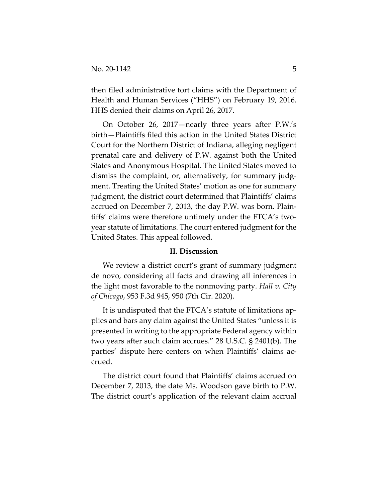then filed administrative tort claims with the Department of Health and Human Services ("HHS") on February 19, 2016. HHS denied their claims on April 26, 2017.

On October 26, 2017—nearly three years after P.W.'s birth—Plaintiffs filed this action in the United States District Court for the Northern District of Indiana, alleging negligent prenatal care and delivery of P.W. against both the United States and Anonymous Hospital. The United States moved to dismiss the complaint, or, alternatively, for summary judgment. Treating the United States' motion as one for summary judgment, the district court determined that Plaintiffs' claims accrued on December 7, 2013, the day P.W. was born. Plaintiffs' claims were therefore untimely under the FTCA's twoyear statute of limitations. The court entered judgment for the United States. This appeal followed.

## **II. Discussion**

We review a district court's grant of summary judgment de novo, considering all facts and drawing all inferences in the light most favorable to the nonmoving party. *Hall v. City of Chicago*, 953 F.3d 945, 950 (7th Cir. 2020).

It is undisputed that the FTCA's statute of limitations applies and bars any claim against the United States "unless it is presented in writing to the appropriate Federal agency within two years after such claim accrues." 28 U.S.C. § 2401(b). The parties' dispute here centers on when Plaintiffs' claims accrued.

The district court found that Plaintiffs' claims accrued on December 7, 2013, the date Ms. Woodson gave birth to P.W. The district court's application of the relevant claim accrual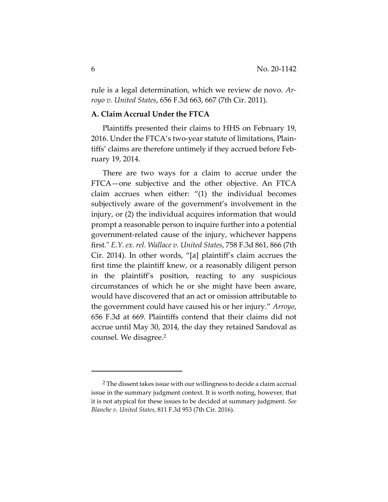rule is a legal determination, which we review de novo. *Arroyo v. United States*, 656 F.3d 663, 667 (7th Cir. 2011).

# **A. Claim Accrual Under the FTCA**

Plaintiffs presented their claims to HHS on February 19, 2016. Under the FTCA's two-year statute of limitations, Plaintiffs' claims are therefore untimely if they accrued before February 19, 2014.

There are two ways for a claim to accrue under the FTCA—one subjective and the other objective. An FTCA claim accrues when either: "(1) the individual becomes subjectively aware of the government's involvement in the injury, or (2) the individual acquires information that would prompt a reasonable person to inquire further into a potential government-related cause of the injury, whichever happens first.ʺ *E.Y. ex. rel. Wallace v. United States*, 758 F.3d 861, 866 (7th Cir. 2014). In other words, "[a] plaintiff's claim accrues the first time the plaintiff knew, or a reasonably diligent person in the plaintiff's position, reacting to any suspicious circumstances of which he or she might have been aware, would have discovered that an act or omission attributable to the government could have caused his or her injury." *Arroyo*, 656 F.3d at 669. Plaintiffs contend that their claims did not accrue until May 30, 2014, the day they retained Sandoval as counsel. We disagree.2

<sup>2</sup> The dissent takes issue with our willingness to decide a claim accrual issue in the summary judgment context. It is worth noting, however, that it is not atypical for these issues to be decided at summary judgment. *See Blanche v. United States*, 811 F.3d 953 (7th Cir. 2016).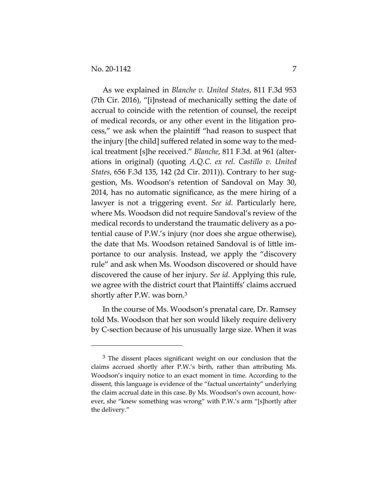As we explained in *Blanche v. United States*, 811 F.3d 953 (7th Cir. 2016), "[i]nstead of mechanically setting the date of accrual to coincide with the retention of counsel, the receipt of medical records, or any other event in the litigation process," we ask when the plaintiff "had reason to suspect that the injury [the child] suffered related in some way to the medical treatment [s]he received." *Blanche*, 811 F.3d*.* at 961 (alterations in original) (quoting *A.Q.C. ex rel. Castillo v. United States*, 656 F.3d 135, 142 (2d Cir. 2011)). Contrary to her suggestion, Ms. Woodson's retention of Sandoval on May 30, 2014, has no automatic significance, as the mere hiring of a lawyer is not a triggering event. *See id.* Particularly here, where Ms. Woodson did not require Sandoval's review of the medical records to understand the traumatic delivery as a potential cause of P.W.'s injury (nor does she argue otherwise), the date that Ms. Woodson retained Sandoval is of little importance to our analysis. Instead, we apply the "discovery rule" and ask when Ms. Woodson discovered or should have discovered the cause of her injury. *See id.* Applying this rule, we agree with the district court that Plaintiffs' claims accrued shortly after P.W. was born.3

In the course of Ms. Woodson's prenatal care, Dr. Ramsey told Ms. Woodson that her son would likely require delivery by C-section because of his unusually large size. When it was

<sup>&</sup>lt;sup>3</sup> The dissent places significant weight on our conclusion that the claims accrued shortly after P.W.'s birth, rather than attributing Ms. Woodson's inquiry notice to an exact moment in time. According to the dissent, this language is evidence of the "factual uncertainty" underlying the claim accrual date in this case. By Ms. Woodson's own account, however, she "knew something was wrong" with P.W.'s arm "[s]hortly after the delivery."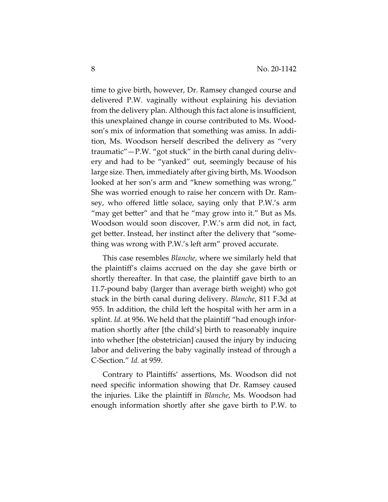time to give birth, however, Dr. Ramsey changed course and delivered P.W. vaginally without explaining his deviation from the delivery plan. Although this fact alone is insufficient, this unexplained change in course contributed to Ms. Woodson's mix of information that something was amiss. In addition, Ms. Woodson herself described the delivery as "very traumatic"—P.W. "got stuck" in the birth canal during delivery and had to be "yanked" out, seemingly because of his large size. Then, immediately after giving birth, Ms. Woodson looked at her son's arm and "knew something was wrong." She was worried enough to raise her concern with Dr. Ramsey, who offered little solace, saying only that P.W.'s arm "may get better" and that he "may grow into it." But as Ms. Woodson would soon discover, P.W.'s arm did not, in fact, get better. Instead, her instinct after the delivery that "something was wrong with P.W.'s left arm" proved accurate.

This case resembles *Blanche*, where we similarly held that the plaintiff's claims accrued on the day she gave birth or shortly thereafter. In that case, the plaintiff gave birth to an 11.7-pound baby (larger than average birth weight) who got stuck in the birth canal during delivery. *Blanche*, 811 F.3d at 955. In addition, the child left the hospital with her arm in a splint. *Id.* at 956. We held that the plaintiff "had enough information shortly after [the child's] birth to reasonably inquire into whether [the obstetrician] caused the injury by inducing labor and delivering the baby vaginally instead of through a C-Section." *Id.* at 959.

Contrary to Plaintiffs' assertions, Ms. Woodson did not need specific information showing that Dr. Ramsey caused the injuries. Like the plaintiff in *Blanche*, Ms. Woodson had enough information shortly after she gave birth to P.W. to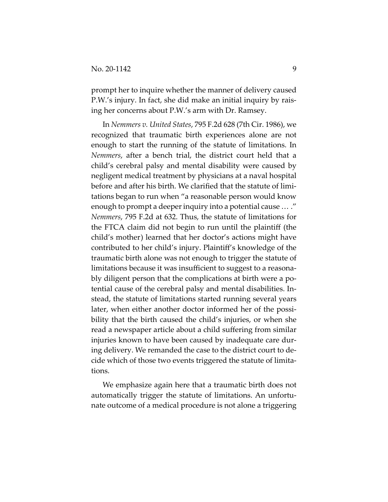prompt her to inquire whether the manner of delivery caused P.W.'s injury. In fact, she did make an initial inquiry by raising her concerns about P.W.'s arm with Dr. Ramsey.

In *Nemmers v. United States*, 795 F.2d 628 (7th Cir. 1986), we recognized that traumatic birth experiences alone are not enough to start the running of the statute of limitations. In *Nemmers*, after a bench trial, the district court held that a child's cerebral palsy and mental disability were caused by negligent medical treatment by physicians at a naval hospital before and after his birth. We clarified that the statute of limitations began to run when "a reasonable person would know enough to prompt a deeper inquiry into a potential cause … ." *Nemmers*, 795 F.2d at 632. Thus, the statute of limitations for the FTCA claim did not begin to run until the plaintiff (the child's mother) learned that her doctor's actions might have contributed to her child's injury. Plaintiff's knowledge of the traumatic birth alone was not enough to trigger the statute of limitations because it was insufficient to suggest to a reasonably diligent person that the complications at birth were a potential cause of the cerebral palsy and mental disabilities. Instead, the statute of limitations started running several years later, when either another doctor informed her of the possibility that the birth caused the child's injuries, or when she read a newspaper article about a child suffering from similar injuries known to have been caused by inadequate care during delivery. We remanded the case to the district court to decide which of those two events triggered the statute of limitations.

We emphasize again here that a traumatic birth does not automatically trigger the statute of limitations. An unfortunate outcome of a medical procedure is not alone a triggering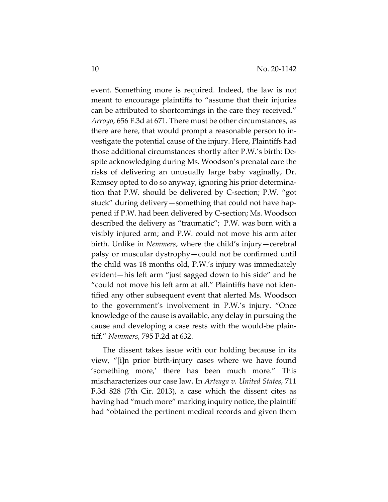event. Something more is required. Indeed, the law is not meant to encourage plaintiffs to "assume that their injuries can be attributed to shortcomings in the care they received." *Arroyo*, 656 F.3d at 671. There must be other circumstances, as there are here, that would prompt a reasonable person to investigate the potential cause of the injury. Here, Plaintiffs had those additional circumstances shortly after P.W.'s birth: Despite acknowledging during Ms. Woodson's prenatal care the risks of delivering an unusually large baby vaginally, Dr. Ramsey opted to do so anyway, ignoring his prior determination that P.W. should be delivered by C-section; P.W. "got stuck" during delivery—something that could not have happened if P.W. had been delivered by C-section; Ms. Woodson described the delivery as "traumatic"; P.W. was born with a visibly injured arm; and P.W. could not move his arm after birth. Unlike in *Nemmers*, where the child's injury—cerebral palsy or muscular dystrophy—could not be confirmed until the child was 18 months old, P.W.'s injury was immediately evident—his left arm "just sagged down to his side" and he "could not move his left arm at all." Plaintiffs have not identified any other subsequent event that alerted Ms. Woodson to the government's involvement in P.W.'s injury. "Once knowledge of the cause is available, any delay in pursuing the cause and developing a case rests with the would-be plaintiff." *Nemmers*, 795 F.2d at 632.

The dissent takes issue with our holding because in its view, "[i]n prior birth-injury cases where we have found 'something more,' there has been much more." This mischaracterizes our case law. In *Arteaga v. United States*, 711 F.3d 828 (7th Cir. 2013), a case which the dissent cites as having had "much more" marking inquiry notice, the plaintiff had "obtained the pertinent medical records and given them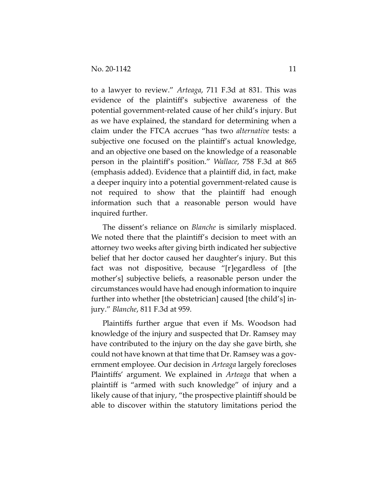to a lawyer to review." *Arteaga*, 711 F.3d at 831. This was evidence of the plaintiff's subjective awareness of the potential government-related cause of her child's injury. But as we have explained, the standard for determining when a claim under the FTCA accrues "has two *alternative* tests: a subjective one focused on the plaintiff's actual knowledge, and an objective one based on the knowledge of a reasonable person in the plaintiff's position." *Wallace*, 758 F.3d at 865 (emphasis added). Evidence that a plaintiff did, in fact, make a deeper inquiry into a potential government-related cause is not required to show that the plaintiff had enough information such that a reasonable person would have inquired further.

The dissent's reliance on *Blanche* is similarly misplaced. We noted there that the plaintiff's decision to meet with an attorney two weeks after giving birth indicated her subjective belief that her doctor caused her daughter's injury. But this fact was not dispositive, because "[r]egardless of [the mother's] subjective beliefs, a reasonable person under the circumstances would have had enough information to inquire further into whether [the obstetrician] caused [the child's] injury." *Blanche*, 811 F.3d at 959.

Plaintiffs further argue that even if Ms. Woodson had knowledge of the injury and suspected that Dr. Ramsey may have contributed to the injury on the day she gave birth, she could not have known at that time that Dr. Ramsey was a government employee. Our decision in *Arteaga* largely forecloses Plaintiffs' argument. We explained in *Arteaga* that when a plaintiff is "armed with such knowledge" of injury and a likely cause of that injury, "the prospective plaintiff should be able to discover within the statutory limitations period the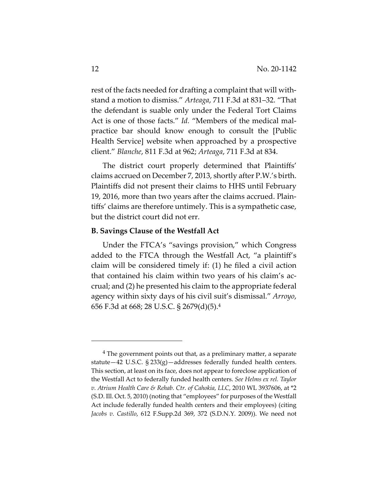rest of the facts needed for drafting a complaint that will withstand a motion to dismiss." *Arteaga*, 711 F.3d at 831–32. "That the defendant is suable only under the Federal Tort Claims Act is one of those facts." *Id.* "Members of the medical malpractice bar should know enough to consult the [Public Health Service] website when approached by a prospective client." *Blanche*, 811 F.3d at 962; *Arteaga*, 711 F.3d at 834.

The district court properly determined that Plaintiffs' claims accrued on December 7, 2013, shortly after P.W.'s birth. Plaintiffs did not present their claims to HHS until February 19, 2016, more than two years after the claims accrued. Plaintiffs' claims are therefore untimely. This is a sympathetic case, but the district court did not err.

#### **B. Savings Clause of the Westfall Act**

Under the FTCA's "savings provision," which Congress added to the FTCA through the Westfall Act, "a plaintiff's claim will be considered timely if: (1) he filed a civil action that contained his claim within two years of his claim's accrual; and (2) he presented his claim to the appropriate federal agency within sixty days of his civil suit's dismissal." *Arroyo*, 656 F.3d at 668; 28 U.S.C. § 2679(d)(5).4

 $4$  The government points out that, as a preliminary matter, a separate statute—42 U.S.C. § 233(g)—addresses federally funded health centers. This section, at least on its face, does not appear to foreclose application of the Westfall Act to federally funded health centers. *See Helms ex rel. Taylor v. Atrium Health Care & Rehab. Ctr. of Cahokia, LLC*, 2010 WL 3937606, at \*2 (S.D. Ill. Oct. 5, 2010) (noting that "employees" for purposes of the Westfall Act include federally funded health centers and their employees) (citing *Jacobs v. Castillo*, 612 F.Supp.2d 369, 372 (S.D.N.Y. 2009)). We need not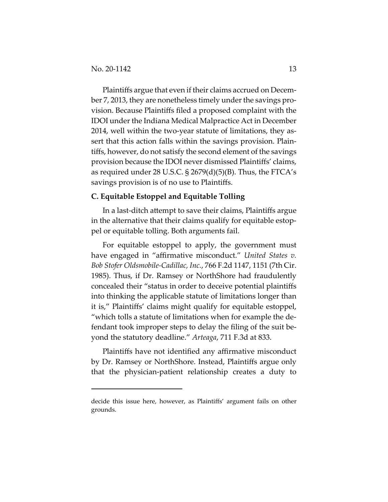Plaintiffs argue that even if their claims accrued on December 7, 2013, they are nonetheless timely under the savings provision. Because Plaintiffs filed a proposed complaint with the IDOI under the Indiana Medical Malpractice Act in December 2014, well within the two-year statute of limitations, they assert that this action falls within the savings provision. Plaintiffs, however, do not satisfy the second element of the savings provision because the IDOI never dismissed Plaintiffs' claims, as required under 28 U.S.C.  $\S$  2679(d)(5)(B). Thus, the FTCA's savings provision is of no use to Plaintiffs.

# **C. Equitable Estoppel and Equitable Tolling**

In a last-ditch attempt to save their claims, Plaintiffs argue in the alternative that their claims qualify for equitable estoppel or equitable tolling. Both arguments fail.

For equitable estoppel to apply, the government must have engaged in "affirmative misconduct." *United States v. Bob Stofer Oldsmobile-Cadillac, Inc.*, 766 F.2d 1147, 1151 (7th Cir. 1985). Thus, if Dr. Ramsey or NorthShore had fraudulently concealed their "status in order to deceive potential plaintiffs into thinking the applicable statute of limitations longer than it is," Plaintiffs' claims might qualify for equitable estoppel, "which tolls a statute of limitations when for example the defendant took improper steps to delay the filing of the suit beyond the statutory deadline." *Arteaga*, 711 F.3d at 833.

Plaintiffs have not identified any affirmative misconduct by Dr. Ramsey or NorthShore. Instead, Plaintiffs argue only that the physician-patient relationship creates a duty to

decide this issue here, however, as Plaintiffs' argument fails on other grounds.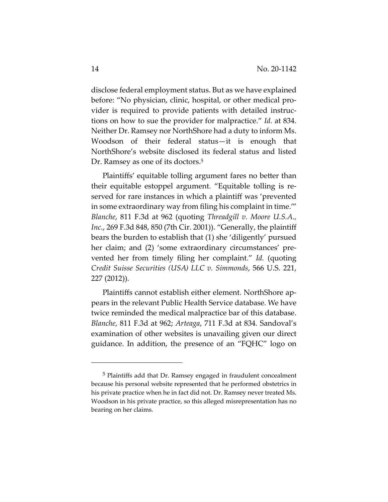disclose federal employment status. But as we have explained before: "No physician, clinic, hospital, or other medical provider is required to provide patients with detailed instructions on how to sue the provider for malpractice." *Id.* at 834. Neither Dr. Ramsey nor NorthShore had a duty to inform Ms. Woodson of their federal status—it is enough that NorthShore's website disclosed its federal status and listed Dr. Ramsey as one of its doctors.<sup>5</sup>

Plaintiffs' equitable tolling argument fares no better than their equitable estoppel argument. "Equitable tolling is reserved for rare instances in which a plaintiff was 'prevented in some extraordinary way from filing his complaint in time.'" *Blanche*, 811 F.3d at 962 (quoting *Threadgill v. Moore U.S.A., Inc.*, 269 F.3d 848, 850 (7th Cir. 2001)). "Generally, the plaintiff bears the burden to establish that (1) she 'diligently' pursued her claim; and (2) 'some extraordinary circumstances' prevented her from timely filing her complaint." *Id.* (quoting *Credit Suisse Securities (USA) LLC v. Simmonds*, 566 U.S. 221, 227 (2012)).

Plaintiffs cannot establish either element. NorthShore appears in the relevant Public Health Service database. We have twice reminded the medical malpractice bar of this database. *Blanche*, 811 F.3d at 962; *Arteaga*, 711 F.3d at 834. Sandoval's examination of other websites is unavailing given our direct guidance. In addition, the presence of an "FQHC" logo on

<sup>5</sup> Plaintiffs add that Dr. Ramsey engaged in fraudulent concealment because his personal website represented that he performed obstetrics in his private practice when he in fact did not. Dr. Ramsey never treated Ms. Woodson in his private practice, so this alleged misrepresentation has no bearing on her claims.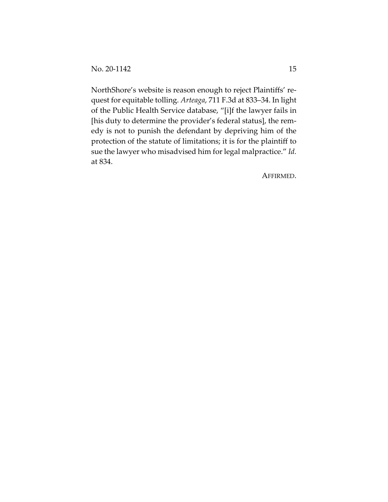NorthShore's website is reason enough to reject Plaintiffs' request for equitable tolling. *Arteaga*, 711 F.3d at 833–34. In light of the Public Health Service database, "[i]f the lawyer fails in [his duty to determine the provider's federal status], the remedy is not to punish the defendant by depriving him of the protection of the statute of limitations; it is for the plaintiff to sue the lawyer who misadvised him for legal malpractice." *Id.* at 834.

AFFIRMED.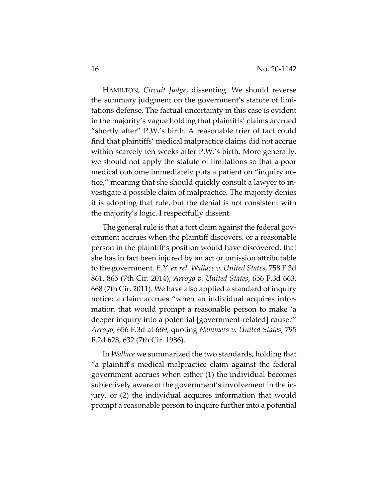HAMILTON, *Circuit Judge*, dissenting. We should reverse the summary judgment on the government's statute of limitations defense. The factual uncertainty in this case is evident in the majority's vague holding that plaintiffs' claims accrued "shortly after" P.W.'s birth. A reasonable trier of fact could find that plaintiffs' medical malpractice claims did not accrue within scarcely ten weeks after P.W.'s birth. More generally, we should not apply the statute of limitations so that a poor medical outcome immediately puts a patient on "inquiry notice," meaning that she should quickly consult a lawyer to investigate a possible claim of malpractice. The majority denies it is adopting that rule, but the denial is not consistent with the majority's logic. I respectfully dissent.

The general rule is that a tort claim against the federal government accrues when the plaintiff discovers, or a reasonable person in the plaintiff's position would have discovered, that she has in fact been injured by an act or omission attributable to the government. *E.Y. ex rel. Wallace v. United States*, 758 F.3d 861, 865 (7th Cir. 2014); *Arroyo v. United States*, 656 F.3d 663, 668 (7th Cir. 2011). We have also applied a standard of inquiry notice: a claim accrues "when an individual acquires information that would prompt a reasonable person to make 'a deeper inquiry into a potential [government-related] cause.'" *Arroyo*, 656 F.3d at 669, quoting *Nemmers v. United States*, 795 F.2d 628, 632 (7th Cir. 1986).

In *Wallace* we summarized the two standards, holding that "a plaintiff's medical malpractice claim against the federal government accrues when either (1) the individual becomes subjectively aware of the government's involvement in the injury, or (2) the individual acquires information that would prompt a reasonable person to inquire further into a potential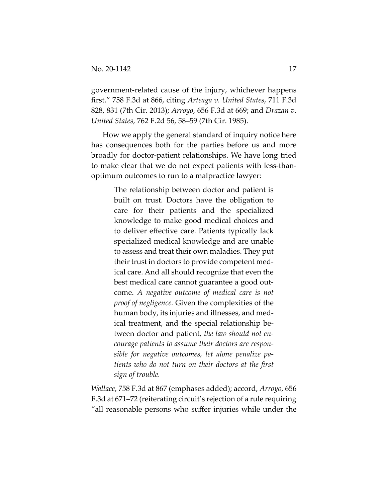government-related cause of the injury, whichever happens first." 758 F.3d at 866, citing *Arteaga v. United States*, 711 F.3d 828, 831 (7th Cir. 2013); *Arroyo*, 656 F.3d at 669; and *Drazan v. United States*, 762 F.2d 56, 58–59 (7th Cir. 1985).

How we apply the general standard of inquiry notice here has consequences both for the parties before us and more broadly for doctor-patient relationships. We have long tried to make clear that we do not expect patients with less-thanoptimum outcomes to run to a malpractice lawyer:

> The relationship between doctor and patient is built on trust. Doctors have the obligation to care for their patients and the specialized knowledge to make good medical choices and to deliver effective care. Patients typically lack specialized medical knowledge and are unable to assess and treat their own maladies. They put their trust in doctors to provide competent medical care. And all should recognize that even the best medical care cannot guarantee a good outcome. *A negative outcome of medical care is not proof of negligence.* Given the complexities of the human body, its injuries and illnesses, and medical treatment, and the special relationship between doctor and patient, *the law should not encourage patients to assume their doctors are responsible for negative outcomes, let alone penalize patients who do not turn on their doctors at the first sign of trouble.*

*Wallace*, 758 F.3d at 867 (emphases added); accord, *Arroyo*, 656 F.3d at 671–72 (reiterating circuit's rejection of a rule requiring "all reasonable persons who suffer injuries while under the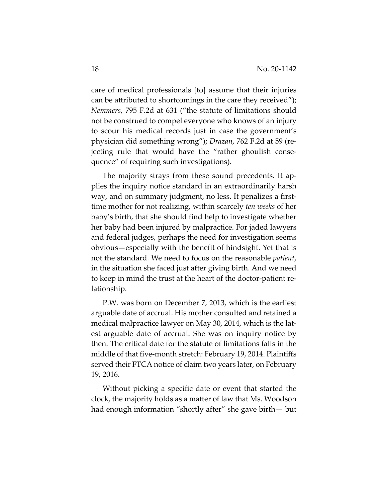care of medical professionals [to] assume that their injuries can be attributed to shortcomings in the care they received"); *Nemmers*, 795 F.2d at 631 ("the statute of limitations should not be construed to compel everyone who knows of an injury to scour his medical records just in case the government's physician did something wrong"); *Drazan*, 762 F.2d at 59 (rejecting rule that would have the "rather ghoulish consequence" of requiring such investigations).

The majority strays from these sound precedents. It applies the inquiry notice standard in an extraordinarily harsh way, and on summary judgment, no less. It penalizes a firsttime mother for not realizing, within scarcely *ten weeks* of her baby's birth, that she should find help to investigate whether her baby had been injured by malpractice. For jaded lawyers and federal judges, perhaps the need for investigation seems obvious**—**especially with the benefit of hindsight. Yet that is not the standard. We need to focus on the reasonable *patient*, in the situation she faced just after giving birth. And we need to keep in mind the trust at the heart of the doctor-patient relationship.

P.W. was born on December 7, 2013, which is the earliest arguable date of accrual. His mother consulted and retained a medical malpractice lawyer on May 30, 2014, which is the latest arguable date of accrual. She was on inquiry notice by then. The critical date for the statute of limitations falls in the middle of that five-month stretch: February 19, 2014. Plaintiffs served their FTCA notice of claim two years later, on February 19, 2016.

Without picking a specific date or event that started the clock, the majority holds as a matter of law that Ms. Woodson had enough information "shortly after" she gave birth— but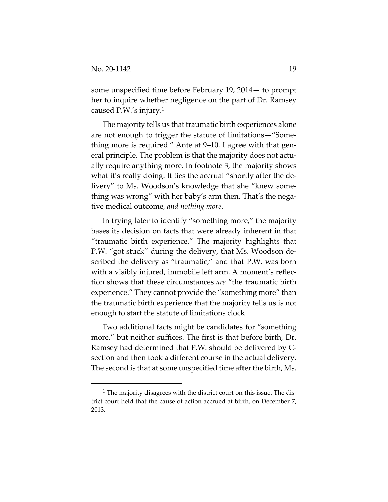some unspecified time before February 19, 2014— to prompt her to inquire whether negligence on the part of Dr. Ramsey caused P.W.'s injury.1

The majority tells us that traumatic birth experiences alone are not enough to trigger the statute of limitations—"Something more is required." Ante at 9–10. I agree with that general principle. The problem is that the majority does not actually require anything more. In footnote 3, the majority shows what it's really doing. It ties the accrual "shortly after the delivery" to Ms. Woodson's knowledge that she "knew something was wrong" with her baby's arm then. That's the negative medical outcome, *and nothing more*.

In trying later to identify "something more," the majority bases its decision on facts that were already inherent in that "traumatic birth experience." The majority highlights that P.W. "got stuck" during the delivery, that Ms. Woodson described the delivery as "traumatic," and that P.W. was born with a visibly injured, immobile left arm. A moment's reflection shows that these circumstances *are* "the traumatic birth experience." They cannot provide the "something more" than the traumatic birth experience that the majority tells us is not enough to start the statute of limitations clock.

Two additional facts might be candidates for "something more," but neither suffices. The first is that before birth, Dr. Ramsey had determined that P.W. should be delivered by Csection and then took a different course in the actual delivery. The second is that at some unspecified time after the birth, Ms.

<sup>1</sup> The majority disagrees with the district court on this issue. The district court held that the cause of action accrued at birth, on December 7, 2013.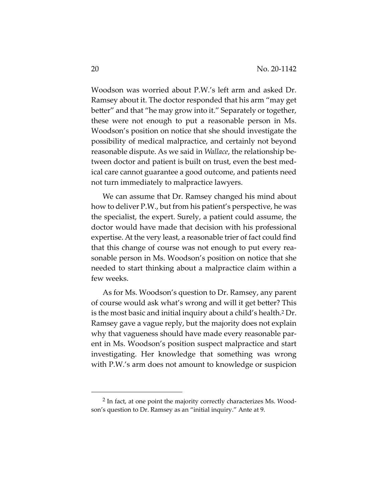Woodson was worried about P.W.'s left arm and asked Dr. Ramsey about it. The doctor responded that his arm "may get better" and that "he may grow into it." Separately or together, these were not enough to put a reasonable person in Ms. Woodson's position on notice that she should investigate the possibility of medical malpractice, and certainly not beyond reasonable dispute. As we said in *Wallace*, the relationship between doctor and patient is built on trust, even the best medical care cannot guarantee a good outcome, and patients need not turn immediately to malpractice lawyers.

We can assume that Dr. Ramsey changed his mind about how to deliver P.W., but from his patient's perspective, he was the specialist, the expert. Surely, a patient could assume, the doctor would have made that decision with his professional expertise. At the very least, a reasonable trier of fact could find that this change of course was not enough to put every reasonable person in Ms. Woodson's position on notice that she needed to start thinking about a malpractice claim within a few weeks.

As for Ms. Woodson's question to Dr. Ramsey, any parent of course would ask what's wrong and will it get better? This is the most basic and initial inquiry about a child's health.2 Dr. Ramsey gave a vague reply, but the majority does not explain why that vagueness should have made every reasonable parent in Ms. Woodson's position suspect malpractice and start investigating. Her knowledge that something was wrong with P.W.'s arm does not amount to knowledge or suspicion

<sup>2</sup> In fact, at one point the majority correctly characterizes Ms. Woodson's question to Dr. Ramsey as an "initial inquiry." Ante at 9.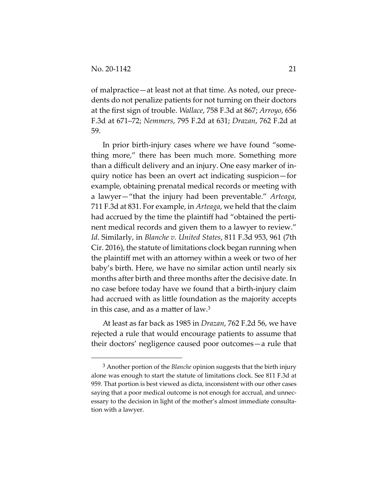of malpractice—at least not at that time. As noted, our precedents do not penalize patients for not turning on their doctors at the first sign of trouble. *Wallace*, 758 F.3d at 867; *Arroyo*, 656 F.3d at 671–72; *Nemmers*, 795 F.2d at 631; *Drazan*, 762 F.2d at 59.

In prior birth-injury cases where we have found "something more," there has been much more. Something more than a difficult delivery and an injury. One easy marker of inquiry notice has been an overt act indicating suspicion—for example, obtaining prenatal medical records or meeting with a lawyer—"that the injury had been preventable." *Arteaga*, 711 F.3d at 831. For example, in *Arteaga*, we held that the claim had accrued by the time the plaintiff had "obtained the pertinent medical records and given them to a lawyer to review." *Id*. Similarly, in *Blanche v. United States*, 811 F.3d 953, 961 (7th Cir. 2016), the statute of limitations clock began running when the plaintiff met with an attorney within a week or two of her baby's birth. Here, we have no similar action until nearly six months after birth and three months after the decisive date. In no case before today have we found that a birth-injury claim had accrued with as little foundation as the majority accepts in this case, and as a matter of law.3

At least as far back as 1985 in *Drazan*, 762 F.2d 56, we have rejected a rule that would encourage patients to assume that their doctors' negligence caused poor outcomes—a rule that

<sup>3</sup> Another portion of the *Blanche* opinion suggests that the birth injury alone was enough to start the statute of limitations clock. See 811 F.3d at 959. That portion is best viewed as dicta, inconsistent with our other cases saying that a poor medical outcome is not enough for accrual, and unnecessary to the decision in light of the mother's almost immediate consultation with a lawyer.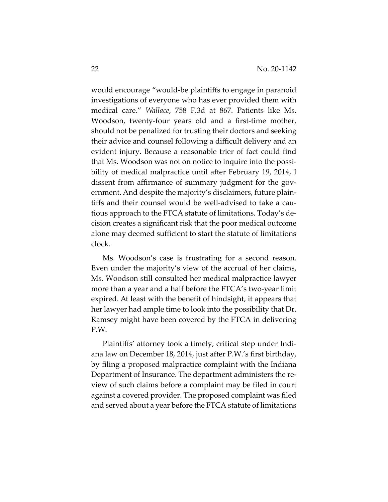would encourage "would-be plaintiffs to engage in paranoid investigations of everyone who has ever provided them with medical care." *Wallace*, 758 F.3d at 867. Patients like Ms. Woodson, twenty-four years old and a first-time mother, should not be penalized for trusting their doctors and seeking their advice and counsel following a difficult delivery and an evident injury. Because a reasonable trier of fact could find that Ms. Woodson was not on notice to inquire into the possibility of medical malpractice until after February 19, 2014, I dissent from affirmance of summary judgment for the government. And despite the majority's disclaimers, future plaintiffs and their counsel would be well-advised to take a cautious approach to the FTCA statute of limitations. Today's decision creates a significant risk that the poor medical outcome alone may deemed sufficient to start the statute of limitations clock.

Ms. Woodson's case is frustrating for a second reason. Even under the majority's view of the accrual of her claims, Ms. Woodson still consulted her medical malpractice lawyer more than a year and a half before the FTCA's two-year limit expired. At least with the benefit of hindsight, it appears that her lawyer had ample time to look into the possibility that Dr. Ramsey might have been covered by the FTCA in delivering P.W.

Plaintiffs' attorney took a timely, critical step under Indiana law on December 18, 2014, just after P.W.'s first birthday, by filing a proposed malpractice complaint with the Indiana Department of Insurance. The department administers the review of such claims before a complaint may be filed in court against a covered provider. The proposed complaint was filed and served about a year before the FTCA statute of limitations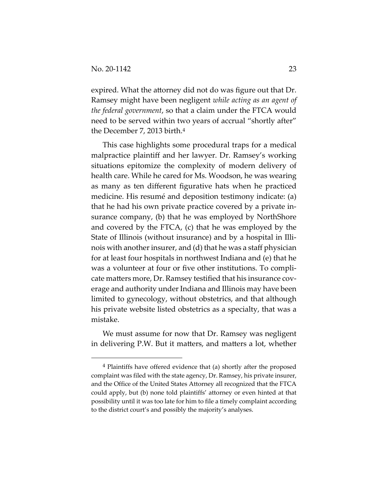expired. What the attorney did not do was figure out that Dr. Ramsey might have been negligent *while acting as an agent of the federal government*, so that a claim under the FTCA would need to be served within two years of accrual "shortly after" the December 7, 2013 birth.4

This case highlights some procedural traps for a medical malpractice plaintiff and her lawyer. Dr. Ramsey's working situations epitomize the complexity of modern delivery of health care. While he cared for Ms. Woodson, he was wearing as many as ten different figurative hats when he practiced medicine. His resumé and deposition testimony indicate: (a) that he had his own private practice covered by a private insurance company, (b) that he was employed by NorthShore and covered by the FTCA, (c) that he was employed by the State of Illinois (without insurance) and by a hospital in Illinois with another insurer, and (d) that he was a staff physician for at least four hospitals in northwest Indiana and (e) that he was a volunteer at four or five other institutions. To complicate matters more, Dr. Ramsey testified that his insurance coverage and authority under Indiana and Illinois may have been limited to gynecology, without obstetrics, and that although his private website listed obstetrics as a specialty, that was a mistake.

We must assume for now that Dr. Ramsey was negligent in delivering P.W. But it matters, and matters a lot, whether

<sup>4</sup> Plaintiffs have offered evidence that (a) shortly after the proposed complaint was filed with the state agency, Dr. Ramsey, his private insurer, and the Office of the United States Attorney all recognized that the FTCA could apply, but (b) none told plaintiffs' attorney or even hinted at that possibility until it was too late for him to file a timely complaint according to the district court's and possibly the majority's analyses.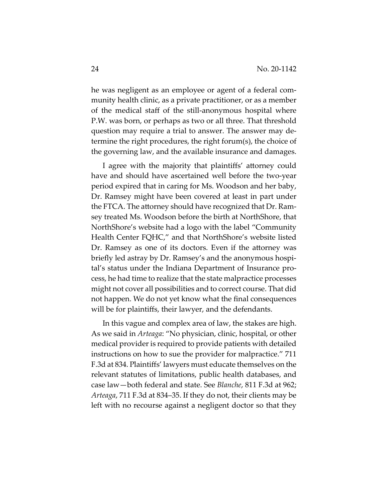he was negligent as an employee or agent of a federal community health clinic, as a private practitioner, or as a member of the medical staff of the still-anonymous hospital where P.W. was born, or perhaps as two or all three. That threshold question may require a trial to answer. The answer may determine the right procedures, the right forum(s), the choice of the governing law, and the available insurance and damages.

I agree with the majority that plaintiffs' attorney could have and should have ascertained well before the two-year period expired that in caring for Ms. Woodson and her baby, Dr. Ramsey might have been covered at least in part under the FTCA. The attorney should have recognized that Dr. Ramsey treated Ms. Woodson before the birth at NorthShore, that NorthShore's website had a logo with the label "Community Health Center FQHC," and that NorthShore's website listed Dr. Ramsey as one of its doctors. Even if the attorney was briefly led astray by Dr. Ramsey's and the anonymous hospital's status under the Indiana Department of Insurance process, he had time to realize that the state malpractice processes might not cover all possibilities and to correct course. That did not happen. We do not yet know what the final consequences will be for plaintiffs, their lawyer, and the defendants.

In this vague and complex area of law, the stakes are high. As we said in *Arteaga*: "No physician, clinic, hospital, or other medical provider is required to provide patients with detailed instructions on how to sue the provider for malpractice." 711 F.3d at 834. Plaintiffs' lawyers must educate themselves on the relevant statutes of limitations, public health databases, and case law—both federal and state. See *Blanche*, 811 F.3d at 962; *Arteaga*, 711 F.3d at 834–35. If they do not, their clients may be left with no recourse against a negligent doctor so that they